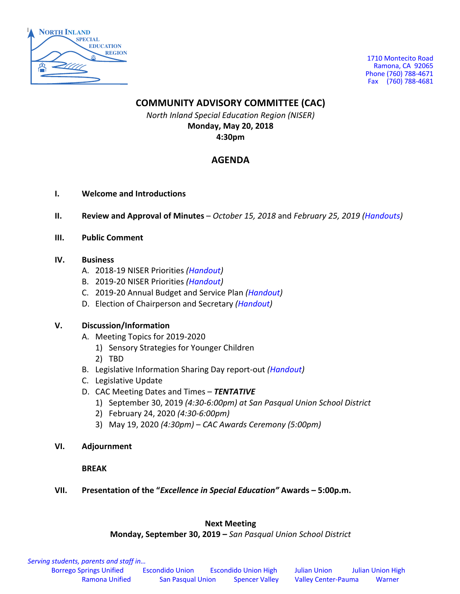

1710 Montecito Road Ramona, CA 92065 Phone (760) 788-4671 Fax (760) 788-4681

#### **COMMUNITY ADVISORY COMMITTEE (CAC)**

*North Inland Special Education Region (NISER)* **Monday, May 20, 2018 4:30pm**

### **AGENDA**

- **I. Welcome and Introductions**
- **II. Review and Approval of Minutes** *October 15, 2018* and *February 25, 2019 (Handouts)*
- **III. Public Comment**

#### **IV. Business**

- A. 2018-19 NISER Priorities *(Handout)*
- B. 2019-20 NISER Priorities *(Handout)*
- C. 2019-20 Annual Budget and Service Plan *(Handout)*
- D. Election of Chairperson and Secretary *(Handout)*

#### **V. Discussion/Information**

- A. Meeting Topics for 2019-2020
	- 1) Sensory Strategies for Younger Children
	- 2) TBD
- B. Legislative Information Sharing Day report-out *(Handout)*
- C. Legislative Update
- D. CAC Meeting Dates and Times *TENTATIVE*
	- 1) September 30, 2019 *(4:30-6:00pm) at San Pasqual Union School District*
	- 2) February 24, 2020 *(4:30-6:00pm)*
	- 3) May 19, 2020 *(4:30pm) CAC Awards Ceremony (5:00pm)*
- **VI. Adjournment**

**BREAK**

**VII. Presentation of the "***Excellence in Special Education"* **Awards – 5:00p.m.**

#### **Next Meeting**

**Monday, September 30, 2019 –** *San Pasqual Union School District*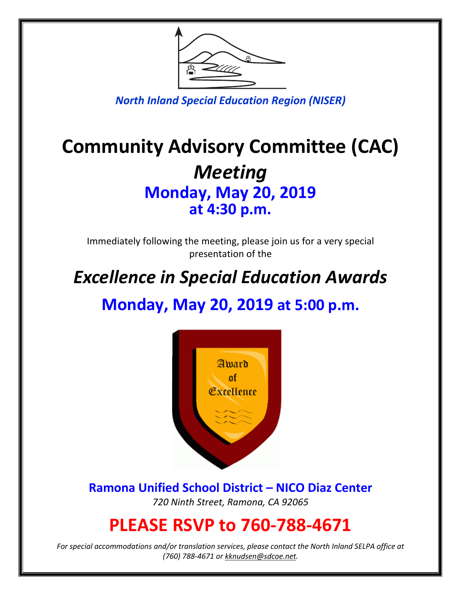

*North Inland Special Education Region (NISER)*

# **Community Advisory Committee (CAC)** *Meeting* **Monday, May 20, 2019 at 4:30 p.m.**

Immediately following the meeting, please join us for a very special presentation of the

# *Excellence in Special Education Awards*

**Monday, May 20, 2019 at 5:00 p.m.**



**Ramona Unified School District – NICO Diaz Center** *720 Ninth Street, Ramona, CA 92065*

### **PLEASE RSVP to 760-788-4671**

*For special accommodations and/or translation services, please contact the North Inland SELPA office at (760) 788-4671 or kknudsen@sdcoe.net.*